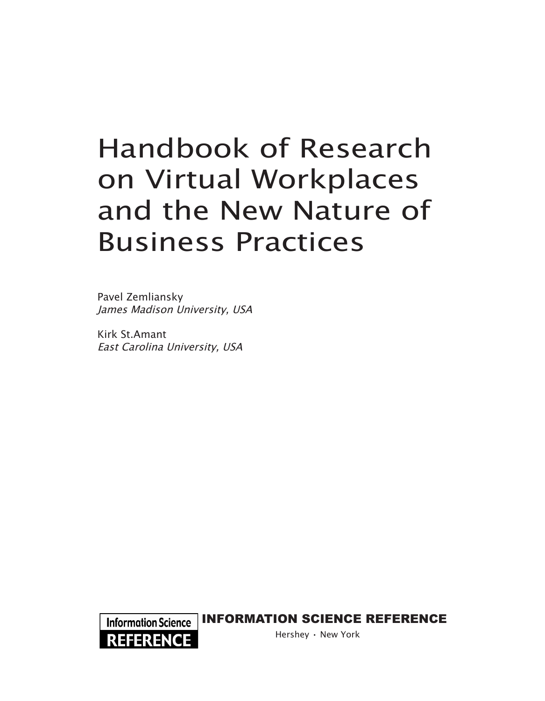# Handbook of Research on Virtual Workplaces and the New Nature of Business Practices

Pavel Zemliansky James Madison University, USA

Kirk St.Amant East Carolina University, USA



InformatIon scIence reference

Hershey • New York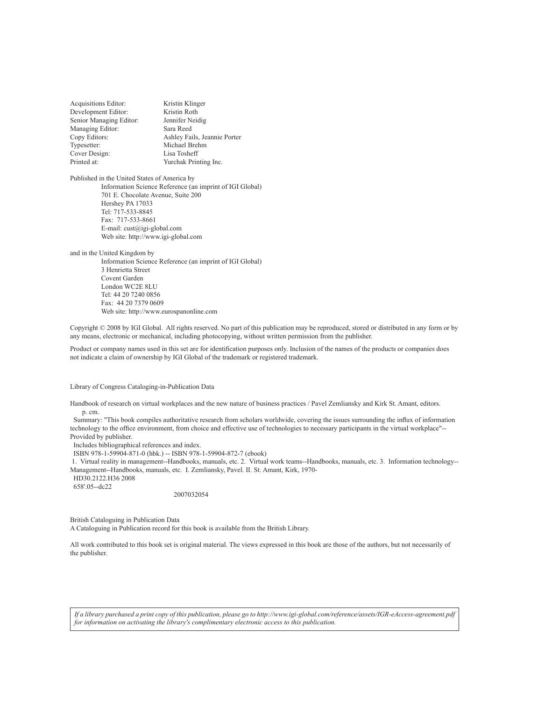Acquisitions Editor: Kristin Klinger Development Editor: Kristin Roth Senior Managing Editor: Jennifer Neidig Managing Editor: Sara Reed Copy Editors: Ashley Fails, Jeannie Porter Michael Brehm Cover Design: Lisa Tosheff Yurchak Printing Inc.

Published in the United States of America by Information Science Reference (an imprint of IGI Global) 701 E. Chocolate Avenue, Suite 200 Hershey PA 17033 Tel: 717-533-8845 Fax: 717-533-8661 E-mail: cust@igi-global.com Web site: http://www.igi-global.com

and in the United Kingdom by

Information Science Reference (an imprint of IGI Global) 3 Henrietta Street Covent Garden London WC2E 8LU Tel: 44 20 7240 0856 Fax: 44 20 7379 0609 Web site: http://www.eurospanonline.com

Copyright © 2008 by IGI Global. All rights reserved. No part of this publication may be reproduced, stored or distributed in any form or by any means, electronic or mechanical, including photocopying, without written permission from the publisher.

Product or company names used in this set are for identification purposes only. Inclusion of the names of the products or companies does not indicate a claim of ownership by IGI Global of the trademark or registered trademark.

Library of Congress Cataloging-in-Publication Data

Handbook of research on virtual workplaces and the new nature of business practices / Pavel Zemliansky and Kirk St. Amant, editors. p. cm.

 Summary: "This book compiles authoritative research from scholars worldwide, covering the issues surrounding the influx of information technology to the office environment, from choice and effective use of technologies to necessary participants in the virtual workplace"-- Provided by publisher.

Includes bibliographical references and index.

ISBN 978-1-59904-871-0 (hbk.) -- ISBN 978-1-59904-872-7 (ebook)

 1. Virtual reality in management--Handbooks, manuals, etc. 2. Virtual work teams--Handbooks, manuals, etc. 3. Information technology-- Management--Handbooks, manuals, etc. I. Zemliansky, Pavel. II. St. Amant, Kirk, 1970-

 HD30.2122.H36 2008 658'.05--dc22

2007032054

British Cataloguing in Publication Data

A Cataloguing in Publication record for this book is available from the British Library.

All work contributed to this book set is original material. The views expressed in this book are those of the authors, but not necessarily of the publisher.

*If a library purchased a print copy of this publication, please go to http://www.igi-global.com/reference/assets/IGR-eAccess-agreement.pdf for information on activating the library's complimentary electronic access to this publication.*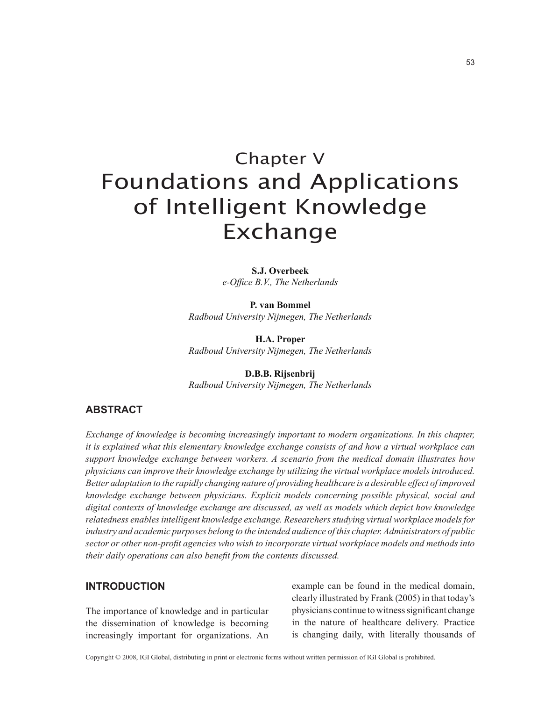# Chapter V Foundations and Applications of Intelligent Knowledge Exchange

**S.J. Overbeek** *e-Office B.V., The Netherlands*

**P. van Bommel** *Radboud University Nijmegen, The Netherlands*

**H.A. Proper** *Radboud University Nijmegen, The Netherlands*

**D.B.B. Rijsenbrij** *Radboud University Nijmegen, The Netherlands*

#### **AbstrAct**

*Exchange of knowledge is becoming increasingly important to modern organizations. In this chapter, it is explained what this elementary knowledge exchange consists of and how a virtual workplace can support knowledge exchange between workers. A scenario from the medical domain illustrates how physicians can improve their knowledge exchange by utilizing the virtual workplace models introduced. Better adaptation to the rapidly changing nature of providing healthcare is a desirable effect of improved knowledge exchange between physicians. Explicit models concerning possible physical, social and digital contexts of knowledge exchange are discussed, as well as models which depict how knowledge relatedness enables intelligent knowledge exchange. Researchers studying virtual workplace models for industry and academic purposes belong to the intended audience of this chapter. Administrators of public sector or other non-profit agencies who wish to incorporate virtual workplace models and methods into their daily operations can also benefit from the contents discussed.*

#### **introduction**

The importance of knowledge and in particular the dissemination of knowledge is becoming increasingly important for organizations. An

example can be found in the medical domain, clearly illustrated by Frank (2005) in that today's physicians continue to witness significant change in the nature of healthcare delivery. Practice is changing daily, with literally thousands of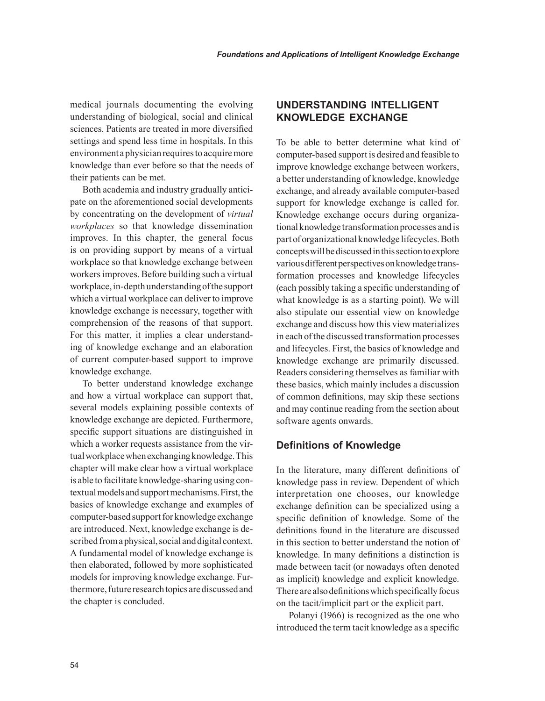medical journals documenting the evolving understanding of biological, social and clinical sciences. Patients are treated in more diversified settings and spend less time in hospitals. In this environment a physician requires to acquire more knowledge than ever before so that the needs of their patients can be met.

Both academia and industry gradually anticipate on the aforementioned social developments by concentrating on the development of *virtual workplaces* so that knowledge dissemination improves. In this chapter, the general focus is on providing support by means of a virtual workplace so that knowledge exchange between workers improves. Before building such a virtual workplace, in-depth understanding of the support which a virtual workplace can deliver to improve knowledge exchange is necessary, together with comprehension of the reasons of that support. For this matter, it implies a clear understanding of knowledge exchange and an elaboration of current computer-based support to improve knowledge exchange.

To better understand knowledge exchange and how a virtual workplace can support that, several models explaining possible contexts of knowledge exchange are depicted. Furthermore, specific support situations are distinguished in which a worker requests assistance from the virtual workplace when exchanging knowledge. This chapter will make clear how a virtual workplace is able to facilitate knowledge-sharing using contextual models and support mechanisms. First, the basics of knowledge exchange and examples of computer-based support for knowledge exchange are introduced. Next, knowledge exchange is described from a physical, social and digital context. A fundamental model of knowledge exchange is then elaborated, followed by more sophisticated models for improving knowledge exchange. Furthermore, future research topics are discussed and the chapter is concluded.

# **understAnding intelligent knoWledge exchAnge**

To be able to better determine what kind of computer-based support is desired and feasible to improve knowledge exchange between workers, a better understanding of knowledge, knowledge exchange, and already available computer-based support for knowledge exchange is called for. Knowledge exchange occurs during organizational knowledge transformation processes and is part of organizational knowledge lifecycles. Both concepts will be discussed in this section to explore various different perspectives on knowledge transformation processes and knowledge lifecycles (each possibly taking a specific understanding of what knowledge is as a starting point). We will also stipulate our essential view on knowledge exchange and discuss how this view materializes in each of the discussed transformation processes and lifecycles. First, the basics of knowledge and knowledge exchange are primarily discussed. Readers considering themselves as familiar with these basics, which mainly includes a discussion of common definitions, may skip these sections and may continue reading from the section about software agents onwards.

#### **Definitions of Knowledge**

In the literature, many different definitions of knowledge pass in review. Dependent of which interpretation one chooses, our knowledge exchange definition can be specialized using a specific definition of knowledge. Some of the definitions found in the literature are discussed in this section to better understand the notion of knowledge. In many definitions a distinction is made between tacit (or nowadays often denoted as implicit) knowledge and explicit knowledge. There are also definitions which specifically focus on the tacit/implicit part or the explicit part.

Polanyi (1966) is recognized as the one who introduced the term tacit knowledge as a specific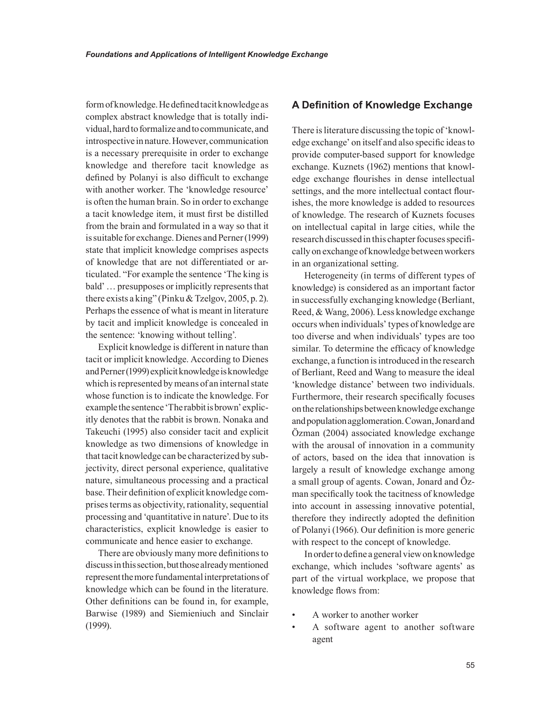form of knowledge. He defined tacit knowledge as complex abstract knowledge that is totally individual, hard to formalize and to communicate, and introspective in nature. However, communication is a necessary prerequisite in order to exchange knowledge and therefore tacit knowledge as defined by Polanyi is also difficult to exchange with another worker. The 'knowledge resource' is often the human brain. So in order to exchange a tacit knowledge item, it must first be distilled from the brain and formulated in a way so that it is suitable for exchange. Dienes and Perner (1999) state that implicit knowledge comprises aspects of knowledge that are not differentiated or articulated. "For example the sentence 'The king is bald' … presupposes or implicitly represents that there exists a king" (Pinku & Tzelgov, 2005, p. 2). Perhaps the essence of what is meant in literature by tacit and implicit knowledge is concealed in the sentence: 'knowing without telling'.

Explicit knowledge is different in nature than tacit or implicit knowledge. According to Dienes and Perner (1999) explicit knowledge is knowledge which is represented by means of an internal state whose function is to indicate the knowledge. For example the sentence 'The rabbit is brown' explicitly denotes that the rabbit is brown. Nonaka and Takeuchi (1995) also consider tacit and explicit knowledge as two dimensions of knowledge in that tacit knowledge can be characterized by subjectivity, direct personal experience, qualitative nature, simultaneous processing and a practical base. Their definition of explicit knowledge comprises terms as objectivity, rationality, sequential processing and 'quantitative in nature'. Due to its characteristics, explicit knowledge is easier to communicate and hence easier to exchange.

There are obviously many more definitions to discuss in this section, but those already mentioned represent the more fundamental interpretations of knowledge which can be found in the literature. Other definitions can be found in, for example, Barwise (1989) and Siemieniuch and Sinclair (1999).

#### **A Definition of Knowledge Exchange**

There is literature discussing the topic of 'knowledge exchange' on itself and also specific ideas to provide computer-based support for knowledge exchange. Kuznets (1962) mentions that knowledge exchange flourishes in dense intellectual settings, and the more intellectual contact flourishes, the more knowledge is added to resources of knowledge. The research of Kuznets focuses on intellectual capital in large cities, while the research discussed in this chapter focuses specifically on exchange of knowledge between workers in an organizational setting.

Heterogeneity (in terms of different types of knowledge) is considered as an important factor in successfully exchanging knowledge (Berliant, Reed, & Wang, 2006). Less knowledge exchange occurs when individuals' types of knowledge are too diverse and when individuals' types are too similar. To determine the efficacy of knowledge exchange, a function is introduced in the research of Berliant, Reed and Wang to measure the ideal 'knowledge distance' between two individuals. Furthermore, their research specifically focuses on the relationships between knowledge exchange and population agglomeration. Cowan, Jonard and Özman (2004) associated knowledge exchange with the arousal of innovation in a community of actors, based on the idea that innovation is largely a result of knowledge exchange among a small group of agents. Cowan, Jonard and Özman specifically took the tacitness of knowledge into account in assessing innovative potential, therefore they indirectly adopted the definition of Polanyi (1966). Our definition is more generic with respect to the concept of knowledge.

In order to define a general view on knowledge exchange, which includes 'software agents' as part of the virtual workplace, we propose that knowledge flows from:

- A worker to another worker
- A software agent to another software agent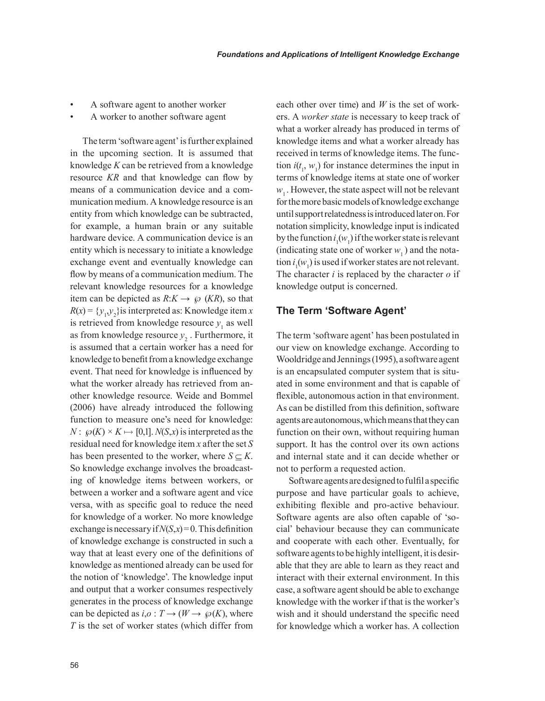- A software agent to another worker
- A worker to another software agent

The term 'software agent' is further explained in the upcoming section. It is assumed that knowledge *K* can be retrieved from a knowledge resource *KR* and that knowledge can flow by means of a communication device and a communication medium. A knowledge resource is an entity from which knowledge can be subtracted, for example, a human brain or any suitable hardware device. A communication device is an entity which is necessary to initiate a knowledge exchange event and eventually knowledge can flow by means of a communication medium. The relevant knowledge resources for a knowledge item can be depicted as  $R: K \to \wp$  (*KR*), so that  $R(x) = \{y_1, y_2\}$  is interpreted as: Knowledge item *x* is retrieved from knowledge resource  $y_1$  as well as from knowledge resource  $y_2$ . Furthermore, it is assumed that a certain worker has a need for knowledge to benefit from a knowledge exchange event. That need for knowledge is influenced by what the worker already has retrieved from another knowledge resource. Weide and Bommel (2006) have already introduced the following function to measure one's need for knowledge:  $N: \wp(K) \times K \mapsto [0,1]$ .  $N(S,x)$  is interpreted as the residual need for knowledge item *x* after the set *S* has been presented to the worker, where  $S \subseteq K$ . So knowledge exchange involves the broadcasting of knowledge items between workers, or between a worker and a software agent and vice versa, with as specific goal to reduce the need for knowledge of a worker. No more knowledge exchange is necessary if  $N(S,x) = 0$ . This definition of knowledge exchange is constructed in such a way that at least every one of the definitions of knowledge as mentioned already can be used for the notion of 'knowledge'. The knowledge input and output that a worker consumes respectively generates in the process of knowledge exchange can be depicted as  $i, o: T \rightarrow (W \rightarrow \wp(K))$ , where *T* is the set of worker states (which differ from

each other over time) and *W* is the set of workers. A *worker state* is necessary to keep track of what a worker already has produced in terms of knowledge items and what a worker already has received in terms of knowledge items. The function  $i(t_1, w_1)$  for instance determines the input in terms of knowledge items at state one of worker  $w_1$ . However, the state aspect will not be relevant for the more basic models of knowledge exchange until support relatedness is introduced later on. For notation simplicity, knowledge input is indicated by the function  $i_1(w_1)$  if the worker state is relevant (indicating state one of worker  $w_1$ ) and the notation  $i_1(w_1)$  is used if worker states are not relevant. The character *i* is replaced by the character *o* if knowledge output is concerned.

#### **The Term 'Software Agent'**

The term 'software agent' has been postulated in our view on knowledge exchange. According to Wooldridge and Jennings (1995), a software agent is an encapsulated computer system that is situated in some environment and that is capable of flexible, autonomous action in that environment. As can be distilled from this definition, software agents are autonomous, which means that they can function on their own, without requiring human support. It has the control over its own actions and internal state and it can decide whether or not to perform a requested action.

Software agents are designed to fulfil a specific purpose and have particular goals to achieve, exhibiting flexible and pro-active behaviour. Software agents are also often capable of 'social' behaviour because they can communicate and cooperate with each other. Eventually, for software agents to be highly intelligent, it is desirable that they are able to learn as they react and interact with their external environment. In this case, a software agent should be able to exchange knowledge with the worker if that is the worker's wish and it should understand the specific need for knowledge which a worker has. A collection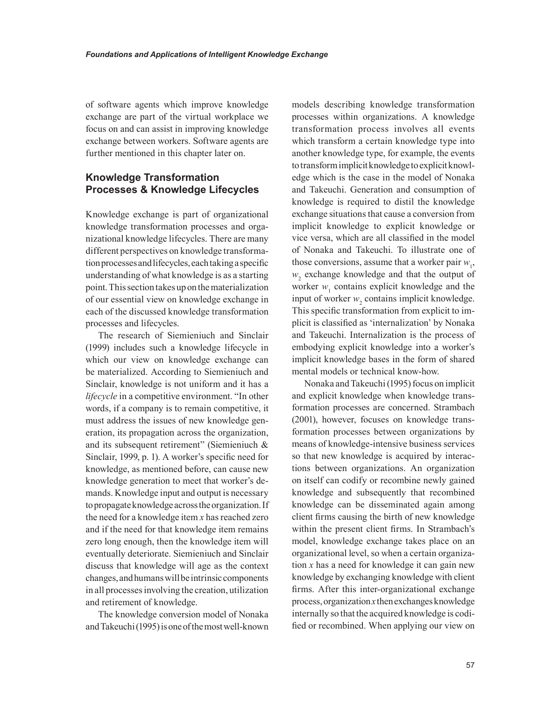of software agents which improve knowledge exchange are part of the virtual workplace we focus on and can assist in improving knowledge exchange between workers. Software agents are further mentioned in this chapter later on.

# **Knowledge Transformation Processes & Knowledge Lifecycles**

Knowledge exchange is part of organizational knowledge transformation processes and organizational knowledge lifecycles. There are many different perspectives on knowledge transformation processes and lifecycles, each taking a specific understanding of what knowledge is as a starting point. This section takes up on the materialization of our essential view on knowledge exchange in each of the discussed knowledge transformation processes and lifecycles.

The research of Siemieniuch and Sinclair (1999) includes such a knowledge lifecycle in which our view on knowledge exchange can be materialized. According to Siemieniuch and Sinclair, knowledge is not uniform and it has a *lifecycle* in a competitive environment. "In other words, if a company is to remain competitive, it must address the issues of new knowledge generation, its propagation across the organization, and its subsequent retirement" (Siemieniuch & Sinclair, 1999, p. 1). A worker's specific need for knowledge, as mentioned before, can cause new knowledge generation to meet that worker's demands. Knowledge input and output is necessary to propagate knowledge across the organization. If the need for a knowledge item *x* has reached zero and if the need for that knowledge item remains zero long enough, then the knowledge item will eventually deteriorate. Siemieniuch and Sinclair discuss that knowledge will age as the context changes, and humans will be intrinsic components in all processes involving the creation, utilization and retirement of knowledge.

The knowledge conversion model of Nonaka and Takeuchi (1995) is one of the most well-known

models describing knowledge transformation processes within organizations. A knowledge transformation process involves all events which transform a certain knowledge type into another knowledge type, for example, the events to transform implicit knowledge to explicit knowledge which is the case in the model of Nonaka and Takeuchi. Generation and consumption of knowledge is required to distil the knowledge exchange situations that cause a conversion from implicit knowledge to explicit knowledge or vice versa, which are all classified in the model of Nonaka and Takeuchi. To illustrate one of those conversions, assume that a worker pair  $w_1$ ,  $w_2$  exchange knowledge and that the output of worker  $w_1$  contains explicit knowledge and the input of worker  $w_2$  contains implicit knowledge. This specific transformation from explicit to implicit is classified as 'internalization' by Nonaka and Takeuchi. Internalization is the process of embodying explicit knowledge into a worker's implicit knowledge bases in the form of shared mental models or technical know-how.

Nonaka and Takeuchi (1995) focus on implicit and explicit knowledge when knowledge transformation processes are concerned. Strambach (2001), however, focuses on knowledge transformation processes between organizations by means of knowledge-intensive business services so that new knowledge is acquired by interactions between organizations. An organization on itself can codify or recombine newly gained knowledge and subsequently that recombined knowledge can be disseminated again among client firms causing the birth of new knowledge within the present client firms. In Strambach's model, knowledge exchange takes place on an organizational level, so when a certain organization *x* has a need for knowledge it can gain new knowledge by exchanging knowledge with client firms. After this inter-organizational exchange process, organization *x* then exchanges knowledge internally so that the acquired knowledge is codified or recombined. When applying our view on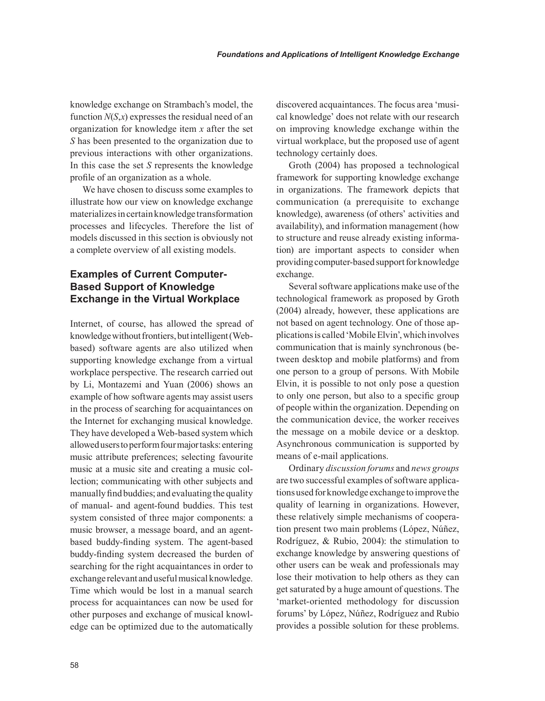knowledge exchange on Strambach's model, the function  $N(S,x)$  expresses the residual need of an organization for knowledge item *x* after the set *S* has been presented to the organization due to previous interactions with other organizations. In this case the set *S* represents the knowledge profile of an organization as a whole.

We have chosen to discuss some examples to illustrate how our view on knowledge exchange materializes in certain knowledge transformation processes and lifecycles. Therefore the list of models discussed in this section is obviously not a complete overview of all existing models.

#### **Examples of Current Computer-Based Support of Knowledge Exchange in the Virtual Workplace**

Internet, of course, has allowed the spread of knowledge without frontiers, but intelligent (Webbased) software agents are also utilized when supporting knowledge exchange from a virtual workplace perspective. The research carried out by Li, Montazemi and Yuan (2006) shows an example of how software agents may assist users in the process of searching for acquaintances on the Internet for exchanging musical knowledge. They have developed a Web-based system which allowed users to perform four major tasks: entering music attribute preferences; selecting favourite music at a music site and creating a music collection; communicating with other subjects and manually find buddies; and evaluating the quality of manual- and agent-found buddies. This test system consisted of three major components: a music browser, a message board, and an agentbased buddy-finding system. The agent-based buddy-finding system decreased the burden of searching for the right acquaintances in order to exchange relevant and useful musical knowledge. Time which would be lost in a manual search process for acquaintances can now be used for other purposes and exchange of musical knowledge can be optimized due to the automatically discovered acquaintances. The focus area 'musical knowledge' does not relate with our research on improving knowledge exchange within the virtual workplace, but the proposed use of agent technology certainly does.

Groth (2004) has proposed a technological framework for supporting knowledge exchange in organizations. The framework depicts that communication (a prerequisite to exchange knowledge), awareness (of others' activities and availability), and information management (how to structure and reuse already existing information) are important aspects to consider when providing computer-based support for knowledge exchange.

Several software applications make use of the technological framework as proposed by Groth (2004) already, however, these applications are not based on agent technology. One of those applications is called 'Mobile Elvin', which involves communication that is mainly synchronous (between desktop and mobile platforms) and from one person to a group of persons. With Mobile Elvin, it is possible to not only pose a question to only one person, but also to a specific group of people within the organization. Depending on the communication device, the worker receives the message on a mobile device or a desktop. Asynchronous communication is supported by means of e-mail applications.

Ordinary *discussion forums* and *news groups* are two successful examples of software applications used for knowledge exchange to improve the quality of learning in organizations. However, these relatively simple mechanisms of cooperation present two main problems (López, Núñez, Rodríguez, & Rubio, 2004): the stimulation to exchange knowledge by answering questions of other users can be weak and professionals may lose their motivation to help others as they can get saturated by a huge amount of questions. The 'market-oriented methodology for discussion forums' by López, Núñez, Rodríguez and Rubio provides a possible solution for these problems.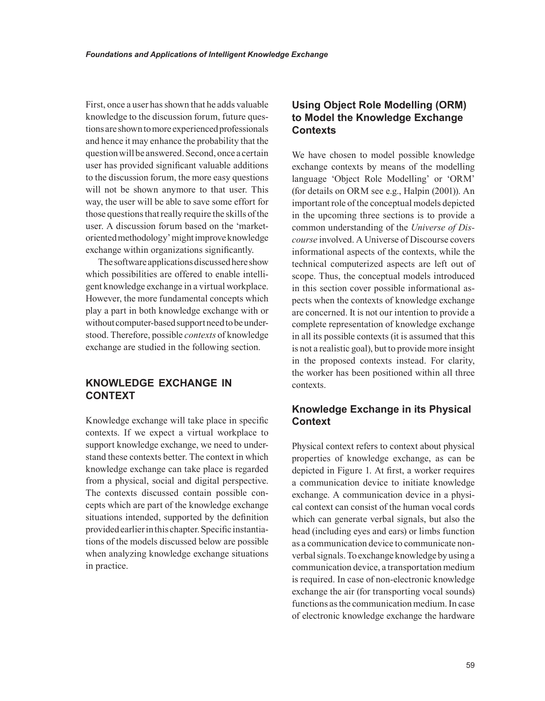First, once a user has shown that he adds valuable knowledge to the discussion forum, future questions are shown to more experienced professionals and hence it may enhance the probability that the question will be answered. Second, once a certain user has provided significant valuable additions to the discussion forum, the more easy questions will not be shown anymore to that user. This way, the user will be able to save some effort for those questions that really require the skills of the user. A discussion forum based on the 'marketoriented methodology' might improve knowledge exchange within organizations significantly.

The software applications discussed here show which possibilities are offered to enable intelligent knowledge exchange in a virtual workplace. However, the more fundamental concepts which play a part in both knowledge exchange with or without computer-based support need to be understood. Therefore, possible *contexts* of knowledge exchange are studied in the following section.

#### **knoWledge exchAnge in context**

Knowledge exchange will take place in specific contexts. If we expect a virtual workplace to support knowledge exchange, we need to understand these contexts better. The context in which knowledge exchange can take place is regarded from a physical, social and digital perspective. The contexts discussed contain possible concepts which are part of the knowledge exchange situations intended, supported by the definition provided earlier in this chapter. Specific instantiations of the models discussed below are possible when analyzing knowledge exchange situations in practice.

# **Using Object Role Modelling (ORM) to Model the Knowledge Exchange Contexts**

We have chosen to model possible knowledge exchange contexts by means of the modelling language 'Object Role Modelling' or 'ORM' (for details on ORM see e.g., Halpin (2001)). An important role of the conceptual models depicted in the upcoming three sections is to provide a common understanding of the *Universe of Discourse* involved. A Universe of Discourse covers informational aspects of the contexts, while the technical computerized aspects are left out of scope. Thus, the conceptual models introduced in this section cover possible informational aspects when the contexts of knowledge exchange are concerned. It is not our intention to provide a complete representation of knowledge exchange in all its possible contexts (it is assumed that this is not a realistic goal), but to provide more insight in the proposed contexts instead. For clarity, the worker has been positioned within all three contexts.

# **Knowledge Exchange in its Physical Context**

Physical context refers to context about physical properties of knowledge exchange, as can be depicted in Figure 1. At first, a worker requires a communication device to initiate knowledge exchange. A communication device in a physical context can consist of the human vocal cords which can generate verbal signals, but also the head (including eyes and ears) or limbs function as a communication device to communicate nonverbal signals. To exchange knowledge by using a communication device, a transportation medium is required. In case of non-electronic knowledge exchange the air (for transporting vocal sounds) functions as the communication medium. In case of electronic knowledge exchange the hardware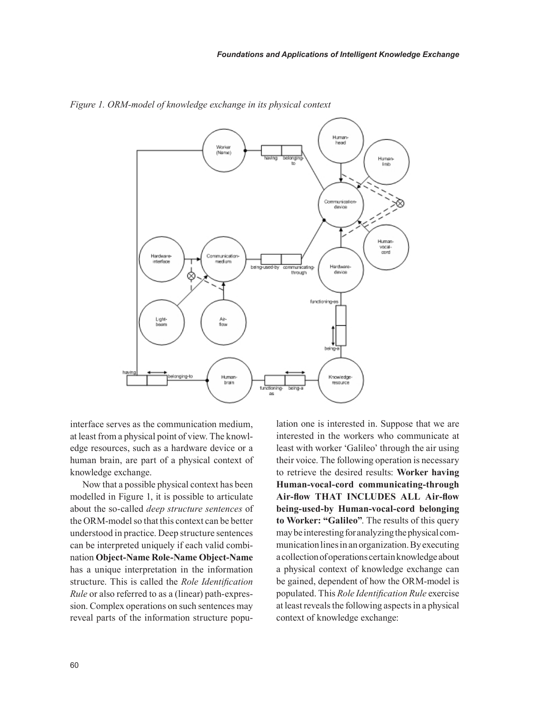

*Figure 1. ORM-model of knowledge exchange in its physical context*

interface serves as the communication medium, at least from a physical point of view. The knowledge resources, such as a hardware device or a human brain, are part of a physical context of knowledge exchange.

Now that a possible physical context has been modelled in Figure 1, it is possible to articulate about the so-called *deep structure sentences* of the ORM-model so that this context can be better understood in practice. Deep structure sentences can be interpreted uniquely if each valid combination **Object-Name Role-Name Object-Name** has a unique interpretation in the information structure. This is called the *Role Identification Rule* or also referred to as a (linear) path-expression. Complex operations on such sentences may reveal parts of the information structure population one is interested in. Suppose that we are interested in the workers who communicate at least with worker 'Galileo' through the air using their voice. The following operation is necessary to retrieve the desired results: **Worker having Human-vocal-cord communicating-through Air-flow THAT INCLUDES ALL Air-flow being-used-by Human-vocal-cord belonging to Worker: "Galileo"**. The results of this query may be interesting for analyzing the physical communication lines in an organization. By executing a collection of operations certain knowledge about a physical context of knowledge exchange can be gained, dependent of how the ORM-model is populated. This *Role Identification Rule* exercise at least reveals the following aspects in a physical context of knowledge exchange: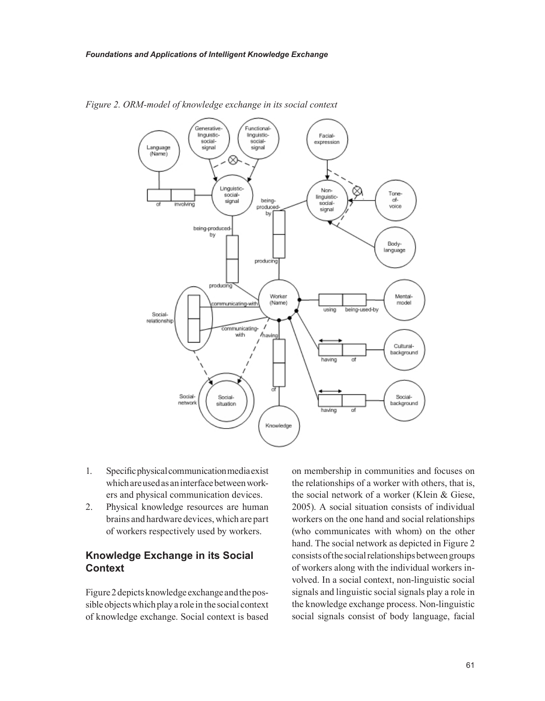

*Figure 2. ORM-model of knowledge exchange in its social context*

- 1. Specific physical communication media exist which are used as an interface between workers and physical communication devices.
- 2. Physical knowledge resources are human brains and hardware devices, which are part of workers respectively used by workers.

# **Knowledge Exchange in its Social Context**

Figure 2 depicts knowledge exchange and the possible objects which play a role in the social context of knowledge exchange. Social context is based

on membership in communities and focuses on the relationships of a worker with others, that is, the social network of a worker (Klein & Giese, 2005). A social situation consists of individual workers on the one hand and social relationships (who communicates with whom) on the other hand. The social network as depicted in Figure 2 consists of the social relationships between groups of workers along with the individual workers involved. In a social context, non-linguistic social signals and linguistic social signals play a role in the knowledge exchange process. Non-linguistic social signals consist of body language, facial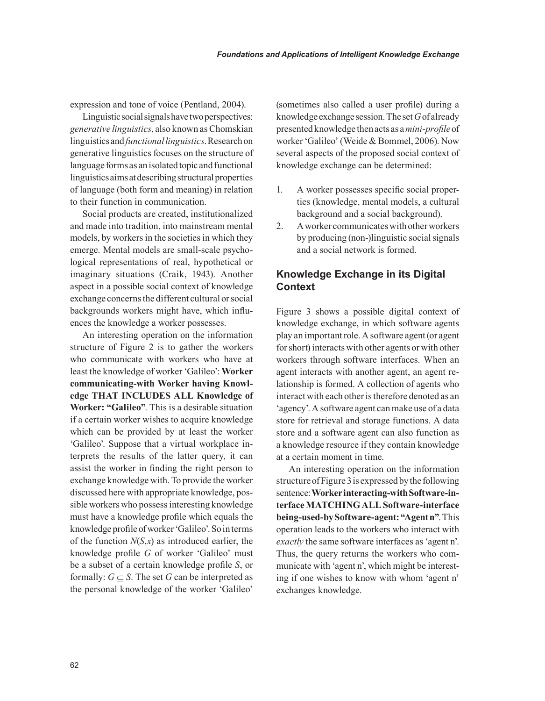expression and tone of voice (Pentland, 2004).

Linguistic social signals have two perspectives: *generative linguistics*, also known as Chomskian linguistics and *functional linguistics*. Research on generative linguistics focuses on the structure of language forms as an isolated topic and functional linguistics aims at describing structural properties of language (both form and meaning) in relation to their function in communication.

Social products are created, institutionalized and made into tradition, into mainstream mental models, by workers in the societies in which they emerge. Mental models are small-scale psychological representations of real, hypothetical or imaginary situations (Craik, 1943). Another aspect in a possible social context of knowledge exchange concerns the different cultural or social backgrounds workers might have, which influences the knowledge a worker possesses.

An interesting operation on the information structure of Figure 2 is to gather the workers who communicate with workers who have at least the knowledge of worker 'Galileo': **Worker communicating-with Worker having Knowledge THAT INCLUDES ALL Knowledge of Worker: "Galileo"**. This is a desirable situation if a certain worker wishes to acquire knowledge which can be provided by at least the worker 'Galileo'. Suppose that a virtual workplace interprets the results of the latter query, it can assist the worker in finding the right person to exchange knowledge with. To provide the worker discussed here with appropriate knowledge, possible workers who possess interesting knowledge must have a knowledge profile which equals the knowledge profile of worker 'Galileo'. So in terms of the function *N*(*S*,*x*) as introduced earlier, the knowledge profile *G* of worker 'Galileo' must be a subset of a certain knowledge profile *S*, or formally:  $G \subseteq S$ . The set *G* can be interpreted as the personal knowledge of the worker 'Galileo' (sometimes also called a user profile) during a knowledge exchange session. The set *G* of already presented knowledge then acts as a *mini*-*profile* of worker 'Galileo' (Weide & Bommel, 2006). Now several aspects of the proposed social context of knowledge exchange can be determined:

- 1. A worker possesses specific social properties (knowledge, mental models, a cultural background and a social background).
- 2. A worker communicates with other workers by producing (non-)linguistic social signals and a social network is formed.

#### **Knowledge Exchange in its Digital Context**

Figure 3 shows a possible digital context of knowledge exchange, in which software agents play an important role. A software agent (or agent for short) interacts with other agents or with other workers through software interfaces. When an agent interacts with another agent, an agent relationship is formed. A collection of agents who interact with each other is therefore denoted as an 'agency'. A software agent can make use of a data store for retrieval and storage functions. A data store and a software agent can also function as a knowledge resource if they contain knowledge at a certain moment in time.

An interesting operation on the information structure of Figure 3 is expressed by the following sentence: **Worker interacting-with Software-interface MATCHING ALL Software-interface being-used-by Software-agent: "Agent n"**. This operation leads to the workers who interact with *exactly* the same software interfaces as 'agent n'. Thus, the query returns the workers who communicate with 'agent n', which might be interesting if one wishes to know with whom 'agent n' exchanges knowledge.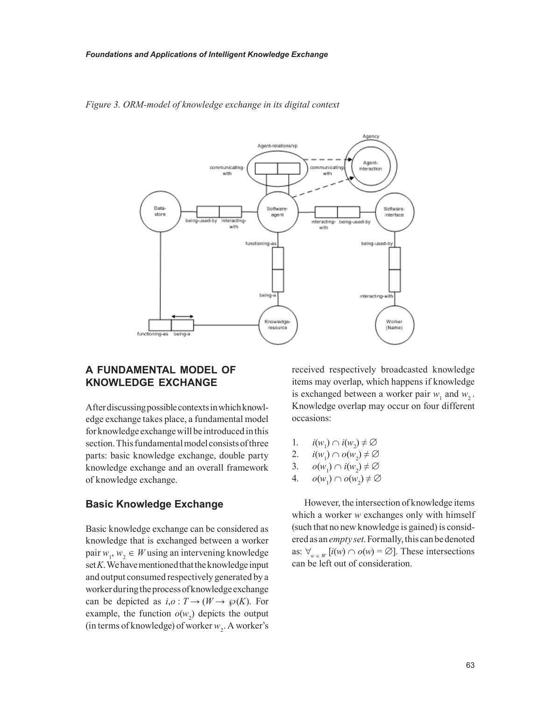

*Figure 3. ORM-model of knowledge exchange in its digital context*

#### **A fundAMentAl Model of knoWledge exchAnge**

After discussing possible contexts in which knowledge exchange takes place, a fundamental model for knowledge exchange will be introduced in this section. This fundamental model consists of three parts: basic knowledge exchange, double party knowledge exchange and an overall framework of knowledge exchange.

#### **Basic Knowledge Exchange**

Basic knowledge exchange can be considered as knowledge that is exchanged between a worker pair  $w_1, w_2 \in W$  using an intervening knowledge set *K*. We have mentioned that the knowledge input and output consumed respectively generated by a worker during the process of knowledge exchange can be depicted as  $i, o: T \rightarrow (W \rightarrow \wp(K))$ . For example, the function  $o(w_2)$  depicts the output (in terms of knowledge) of worker  $w_2$ . A worker's

received respectively broadcasted knowledge items may overlap, which happens if knowledge is exchanged between a worker pair  $w_1$  and  $w_2$ . Knowledge overlap may occur on four different occasions:

- 1.  $i(w_1) \cap i(w_2) \neq \emptyset$
- 2.  $i(w_1) \cap o(w_2) \neq \emptyset$
- 3.  $o(w_1) \cap i(w_2) \neq \emptyset$
- 4.  $o(w_1) \cap o(w_2) \neq \emptyset$

However, the intersection of knowledge items which a worker *w* exchanges only with himself (such that no new knowledge is gained) is considered as an *empty set*. Formally, this can be denoted as:  $\forall$ <sup>*w*</sup> ∈ *W* [*i*(*W*) ∩ *o*(*W*) = ∅]. These intersections can be left out of consideration.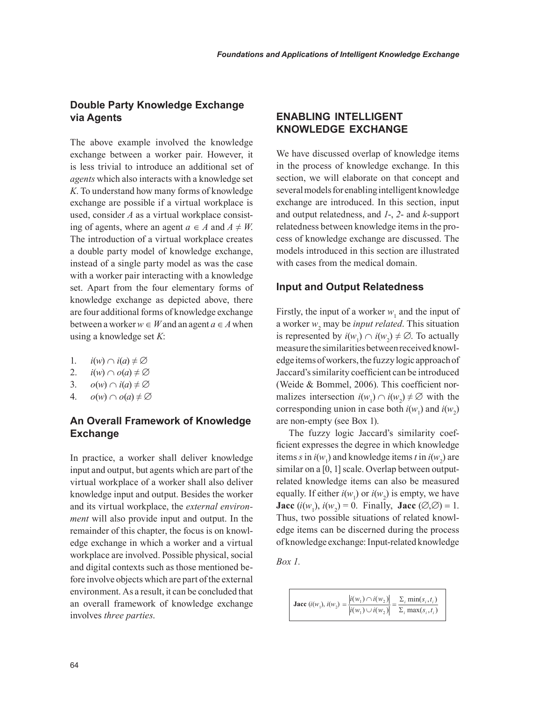# **Double Party Knowledge Exchange via Agents**

The above example involved the knowledge exchange between a worker pair. However, it is less trivial to introduce an additional set of *agents* which also interacts with a knowledge set *K*. To understand how many forms of knowledge exchange are possible if a virtual workplace is used, consider *A* as a virtual workplace consisting of agents, where an agent  $a \in A$  and  $A \neq W$ . The introduction of a virtual workplace creates a double party model of knowledge exchange, instead of a single party model as was the case with a worker pair interacting with a knowledge set. Apart from the four elementary forms of knowledge exchange as depicted above, there are four additional forms of knowledge exchange between a worker  $w \in W$  and an agent  $a \in A$  when using a knowledge set *K*:

- 1.  $i(w) \cap i(a) \neq \emptyset$
- 2.  $i(w) \cap o(a) \neq \emptyset$
- 3.  $o(w) \cap i(a) \neq \emptyset$
- 4.  $o(w) \cap o(a) \neq \emptyset$

#### **An Overall Framework of Knowledge Exchange**

In practice, a worker shall deliver knowledge input and output, but agents which are part of the virtual workplace of a worker shall also deliver knowledge input and output. Besides the worker and its virtual workplace, the *external environment* will also provide input and output. In the remainder of this chapter, the focus is on knowledge exchange in which a worker and a virtual workplace are involved. Possible physical, social and digital contexts such as those mentioned before involve objects which are part of the external environment. As a result, it can be concluded that an overall framework of knowledge exchange involves *three parties*.

# **enAbling intelligent knoWledge exchAnge**

We have discussed overlap of knowledge items in the process of knowledge exchange. In this section, we will elaborate on that concept and several models for enabling intelligent knowledge exchange are introduced. In this section, input and output relatedness, and *1*-, *2*- and *k*-support relatedness between knowledge items in the process of knowledge exchange are discussed. The models introduced in this section are illustrated with cases from the medical domain.

#### **Input and Output Relatedness**

Firstly, the input of a worker  $w_1$  and the input of a worker  $w_2$  may be *input related*. This situation is represented by  $i(w_1) \cap i(w_2) \neq \emptyset$ . To actually measure the similarities between received knowledge items of workers, the fuzzy logic approach of Jaccard's similarity coefficient can be introduced (Weide & Bommel, 2006). This coefficient normalizes intersection  $i(w_1) \cap i(w_2) \neq \emptyset$  with the corresponding union in case both  $i(w_1)$  and  $i(w_2)$ are non-empty (see Box 1).

The fuzzy logic Jaccard's similarity coefficient expresses the degree in which knowledge items *s* in  $i(w_1)$  and knowledge items *t* in  $i(w_2)$  are similar on a [0, 1] scale. Overlap between outputrelated knowledge items can also be measured equally. If either  $i(w_1)$  or  $i(w_2)$  is empty, we have **Jacc** ( $i(w_1)$ ,  $i(w_2) = 0$ . Finally, **Jacc** ( $\emptyset$ , $\emptyset$ ) = 1. Thus, two possible situations of related knowledge items can be discerned during the process of knowledge exchange: Input-related knowledge

*Box 1.* 

| <b>Jacc</b> $(i(w_1), i(w_2) = \frac{ v_1 \wedge v_1 }{ i(w_1) \cup i(w_2) } = \frac{1}{\sum_i \max(s_i, t_i)}$ | $\left  \frac{i(w_1) \cap i(w_2)}{i(w_2)} \right  = \frac{\sum_i \min(s_i, t_i)}{i(w_1)}$ |
|-----------------------------------------------------------------------------------------------------------------|-------------------------------------------------------------------------------------------|
|-----------------------------------------------------------------------------------------------------------------|-------------------------------------------------------------------------------------------|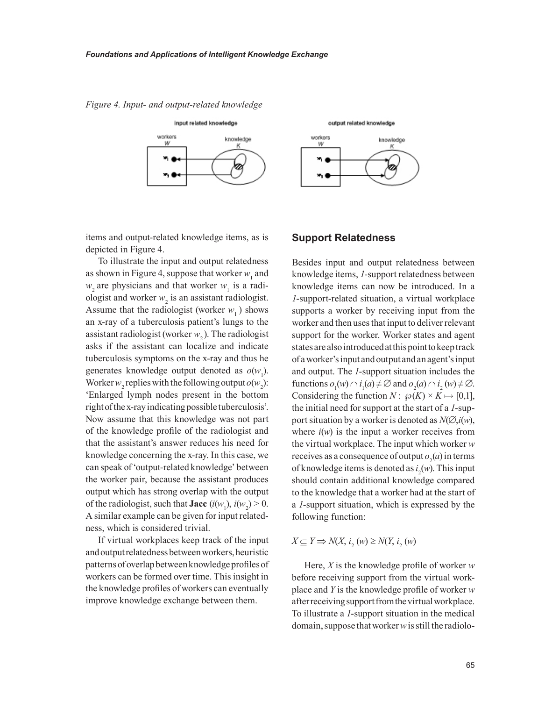

*Figure 4. Input- and output-related knowledge*

items and output-related knowledge items, as is depicted in Figure 4.

To illustrate the input and output relatedness as shown in Figure 4, suppose that worker  $w_1$  and  $w_2$  are physicians and that worker  $w_1$  is a radiologist and worker  $w_2$  is an assistant radiologist. Assume that the radiologist (worker  $w_1$ ) shows an x-ray of a tuberculosis patient's lungs to the assistant radiologist (worker  $w_2$ ). The radiologist asks if the assistant can localize and indicate tuberculosis symptoms on the x-ray and thus he generates knowledge output denoted as  $o(w_1)$ . Worker  $w_2$  replies with the following output  $o(w_2)$ : 'Enlarged lymph nodes present in the bottom right of the x-ray indicating possible tuberculosis'. Now assume that this knowledge was not part of the knowledge profile of the radiologist and that the assistant's answer reduces his need for knowledge concerning the x-ray. In this case, we can speak of 'output-related knowledge' between the worker pair, because the assistant produces output which has strong overlap with the output of the radiologist, such that **Jacc** ( $i(w_1)$ ,  $i(w_2) > 0$ . A similar example can be given for input relatedness, which is considered trivial.

If virtual workplaces keep track of the input and output relatedness between workers, heuristic patterns of overlap between knowledge profiles of workers can be formed over time. This insight in the knowledge profiles of workers can eventually improve knowledge exchange between them.



Besides input and output relatedness between knowledge items, *1*-support relatedness between knowledge items can now be introduced. In a *1*-support-related situation, a virtual workplace supports a worker by receiving input from the worker and then uses that input to deliver relevant support for the worker. Worker states and agent states are also introduced at this point to keep track of a worker's input and output and an agent's input and output. The *1*-support situation includes the functions  $o_1(w) \cap i_1(a) \neq \emptyset$  and  $o_2(a) \cap i_2(w) \neq \emptyset$ . Considering the function  $N: \mathcal{P}(K) \times K \mapsto [0,1],$ the initial need for support at the start of a *1*-support situation by a worker is denoted as  $N(\emptyset, i(w))$ , where  $i(w)$  is the input a worker receives from the virtual workplace. The input which worker *w* receives as a consequence of output  $o_2(a)$  in terms of knowledge items is denoted as *i* 2 (*w*). This input should contain additional knowledge compared to the knowledge that a worker had at the start of a *1*-support situation, which is expressed by the following function:

$$
X \subseteq Y \implies N(X, i_2(w) \ge N(Y, i_2(w))
$$

Here, *X* is the knowledge profile of worker *w* before receiving support from the virtual workplace and *Y* is the knowledge profile of worker *w* after receiving support from the virtual workplace. To illustrate a *1*-support situation in the medical domain, suppose that worker *w* is still the radiolo-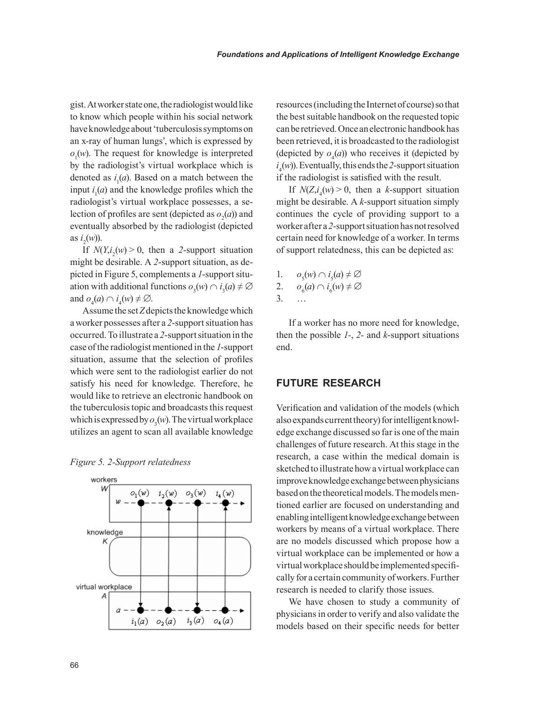gist. At worker state one, the radiologist would like to know which people within his social network have knowledge about 'tuberculosis symptoms on an x-ray of human lungs', which is expressed by  $o_1(w)$ . The request for knowledge is interpreted by the radiologist's virtual workplace which is denoted as  $i_1(a)$ . Based on a match between the input  $i_1(a)$  and the knowledge profiles which the radiologist's virtual workplace possesses, a selection of profiles are sent (depicted as  $o_2(a)$ ) and eventually absorbed by the radiologist (depicted as  $i_2(w)$ ).

If  $N(Y, i_2(w) > 0$ , then a 2-support situation might be desirable. A *2*-support situation, as depicted in Figure 5, complements a *1*-support situation with additional functions  $o_3(w) \cap i_3(a) \neq \emptyset$ and  $o_4(a) \cap i_4(w) \neq \emptyset$ .

Assume the set *Z* depicts the knowledge which a worker possesses after a *2*-support situation has occurred. To illustrate a *2*-support situation in the case of the radiologist mentioned in the *1*-support situation, assume that the selection of profiles which were sent to the radiologist earlier do not satisfy his need for knowledge. Therefore, he would like to retrieve an electronic handbook on the tuberculosis topic and broadcasts this request which is expressed by  $o_3(w)$ . The virtual workplace utilizes an agent to scan all available knowledge



#### *Figure 5. 2-Support relatedness*

resources (including the Internet of course) so that the best suitable handbook on the requested topic can be retrieved. Once an electronic handbook has been retrieved, it is broadcasted to the radiologist (depicted by  $o_4(a)$ ) who receives it (depicted by *i* 4 (*w*)). Eventually, this ends the *2*-support situation if the radiologist is satisfied with the result.

If  $N(Z, i_4(w) > 0$ , then a *k*-support situation might be desirable. A *k*-support situation simply continues the cycle of providing support to a worker after a *2*-support situation has not resolved certain need for knowledge of a worker. In terms of support relatedness, this can be depicted as:

- 1.  $o_5(w) \cap i_5(a) \neq \emptyset$ 2.  $o_6(a) \cap i_6(w) \neq \emptyset$
- 3. …

If a worker has no more need for knowledge, then the possible *1-*, *2-* and *k*-support situations end.

#### **future reseArch**

Verification and validation of the models (which also expands current theory) for intelligent knowledge exchange discussed so far is one of the main challenges of future research. At this stage in the research, a case within the medical domain is sketched to illustrate how a virtual workplace can improve knowledge exchange between physicians based on the theoretical models. The models mentioned earlier are focused on understanding and enabling intelligent knowledge exchange between workers by means of a virtual workplace. There are no models discussed which propose how a virtual workplace can be implemented or how a virtual workplace should be implemented specifically for a certain community of workers. Further research is needed to clarify those issues.

We have chosen to study a community of physicians in order to verify and also validate the models based on their specific needs for better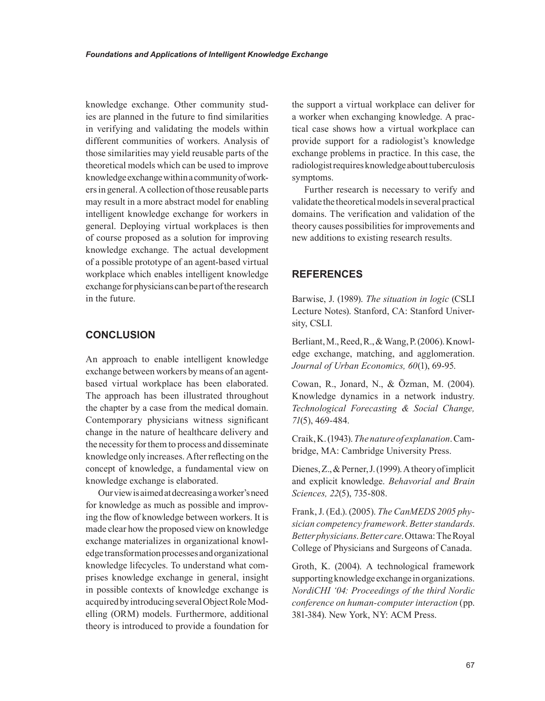knowledge exchange. Other community studies are planned in the future to find similarities in verifying and validating the models within different communities of workers. Analysis of those similarities may yield reusable parts of the theoretical models which can be used to improve knowledge exchange within a community of workers in general. A collection of those reusable parts may result in a more abstract model for enabling intelligent knowledge exchange for workers in general. Deploying virtual workplaces is then of course proposed as a solution for improving knowledge exchange. The actual development of a possible prototype of an agent-based virtual workplace which enables intelligent knowledge exchange for physicians can be part of the research in the future.

#### **conclusion**

An approach to enable intelligent knowledge exchange between workers by means of an agentbased virtual workplace has been elaborated. The approach has been illustrated throughout the chapter by a case from the medical domain. Contemporary physicians witness significant change in the nature of healthcare delivery and the necessity for them to process and disseminate knowledge only increases. After reflecting on the concept of knowledge, a fundamental view on knowledge exchange is elaborated.

Our view is aimed at decreasing a worker's need for knowledge as much as possible and improving the flow of knowledge between workers. It is made clear how the proposed view on knowledge exchange materializes in organizational knowledge transformation processes and organizational knowledge lifecycles. To understand what comprises knowledge exchange in general, insight in possible contexts of knowledge exchange is acquired by introducing several Object Role Modelling (ORM) models. Furthermore, additional theory is introduced to provide a foundation for

the support a virtual workplace can deliver for a worker when exchanging knowledge. A practical case shows how a virtual workplace can provide support for a radiologist's knowledge exchange problems in practice. In this case, the radiologist requires knowledge about tuberculosis symptoms.

Further research is necessary to verify and validate the theoretical models in several practical domains. The verification and validation of the theory causes possibilities for improvements and new additions to existing research results.

#### **references**

Barwise, J. (1989). *The situation in logic* (CSLI Lecture Notes). Stanford, CA: Stanford University, CSLI.

Berliant, M., Reed, R., & Wang, P. (2006). Knowledge exchange, matching, and agglomeration. *Journal of Urban Economics, 60*(1), 69-95.

Cowan, R., Jonard, N., & Özman, M. (2004). Knowledge dynamics in a network industry. *Technological Forecasting & Social Change, 71*(5), 469-484.

Craik, K. (1943). *The nature of explanation*. Cambridge, MA: Cambridge University Press.

Dienes, Z., & Perner, J. (1999). A theory of implicit and explicit knowledge. *Behavorial and Brain Sciences, 22*(5), 735-808.

Frank, J. (Ed.). (2005). *The CanMEDS 2005 physician competency framework*. *Better standards*. *Better physicians*. *Better care*. Ottawa: The Royal College of Physicians and Surgeons of Canada.

Groth, K. (2004). A technological framework supporting knowledge exchange in organizations. *NordiCHI '04: Proceedings of the third Nordic conference on human-computer interaction* (pp. 381-384). New York, NY: ACM Press.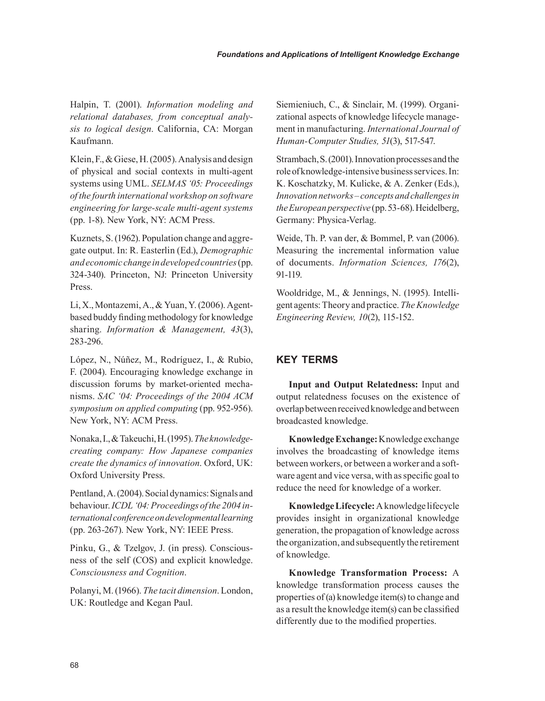Halpin, T. (2001). *Information modeling and relational databases, from conceptual analysis to logical design*. California, CA: Morgan Kaufmann.

Klein, F., & Giese, H. (2005). Analysis and design of physical and social contexts in multi-agent systems using UML. *SELMAS '05: Proceedings of the fourth international workshop on software engineering for large-scale multi-agent systems* (pp. 1-8). New York, NY: ACM Press.

Kuznets, S. (1962). Population change and aggregate output. In: R. Easterlin (Ed.), *Demographic and economic change in developed countries* (pp. 324-340). Princeton, NJ: Princeton University Press.

Li, X., Montazemi, A., & Yuan, Y. (2006). Agentbased buddy finding methodology for knowledge sharing. *Information & Management, 43*(3), 283-296.

López, N., Núñez, M., Rodríguez, I., & Rubio, F. (2004). Encouraging knowledge exchange in discussion forums by market-oriented mechanisms. *SAC '04: Proceedings of the 2004 ACM symposium on applied computing* (pp. 952-956). New York, NY: ACM Press.

Nonaka, I., & Takeuchi, H. (1995). *The knowledgecreating company: How Japanese companies create the dynamics of innovation*. Oxford, UK: Oxford University Press.

Pentland, A. (2004). Social dynamics: Signals and behaviour. *ICDL '04: Proceedings of the 2004 international conference on developmental learning* (pp. 263-267). New York, NY: IEEE Press.

Pinku, G., & Tzelgov, J. (in press). Consciousness of the self (COS) and explicit knowledge. *Consciousness and Cognition*.

Polanyi, M. (1966). *The tacit dimension*. London, UK: Routledge and Kegan Paul.

Siemieniuch, C., & Sinclair, M. (1999). Organizational aspects of knowledge lifecycle management in manufacturing. *International Journal of Human-Computer Studies, 51*(3), 517-547.

Strambach, S. (2001). Innovation processes and the role of knowledge-intensive business services. In: K. Koschatzky, M. Kulicke, & A. Zenker (Eds.), *Innovation networks – concepts and challenges in the European perspective* (pp. 53-68). Heidelberg, Germany: Physica-Verlag.

Weide, Th. P. van der, & Bommel, P. van (2006). Measuring the incremental information value of documents. *Information Sciences, 176*(2), 91-119.

Wooldridge, M., & Jennings, N. (1995). Intelligent agents: Theory and practice. *The Knowledge Engineering Review, 10*(2), 115-152.

# **key terMs**

**Input and Output Relatedness:** Input and output relatedness focuses on the existence of overlap between received knowledge and between broadcasted knowledge.

**Knowledge Exchange:**Knowledge exchange involves the broadcasting of knowledge items between workers, or between a worker and a software agent and vice versa, with as specific goal to reduce the need for knowledge of a worker.

**Knowledge Lifecycle:** A knowledge lifecycle provides insight in organizational knowledge generation, the propagation of knowledge across the organization, and subsequently the retirement of knowledge.

**Knowledge Transformation Process:** A knowledge transformation process causes the properties of (a) knowledge item(s) to change and as a result the knowledge item(s) can be classified differently due to the modified properties.